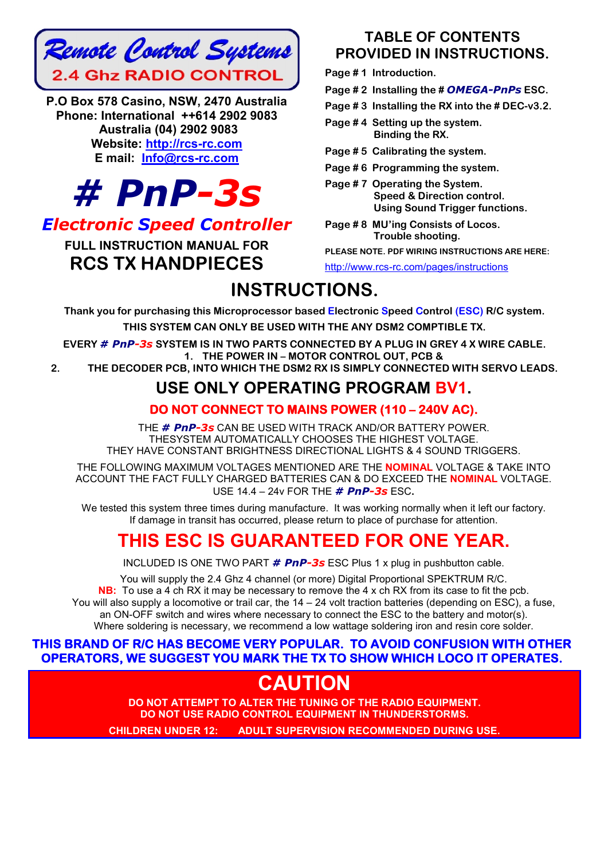

P.O Box 578 Casino, NSW, 2470 Australia Phone: International ++614 2902 9083 Australia (04) 2902 9083 Website: http://rcs-rc.com E mail: Info@rcs-rc.com



# *Electronic Speed Controller*

# FULL INSTRUCTION MANUAL FOR RCS TX HANDPIECES

# TABLE OF CONTENTS PROVIDED IN INSTRUCTIONS.

Page #1 Introduction.

Page # 2 Installing the # *OMEGA-PnPs* ESC.

Page # 3 Installing the RX into the # DEC-v3.2.

Page #4 Setting up the system. Binding the RX.

Page # 5 Calibrating the system.

- Page # 6 Programming the system.
- Page # 7 Operating the System. Speed & Direction control. Using Sound Trigger functions.
- Page # 8 MU'ing Consists of Locos. Trouble shooting.

PLEASE NOTE. PDF WIRING INSTRUCTIONS ARE HERE: http://www.rcs-rc.com/pages/instructions

# INSTRUCTIONS.

Thank you for purchasing this Microprocessor based Electronic Speed Control (ESC) R/C system.

THIS SYSTEM CAN ONLY BE USED WITH THE ANY DSM2 COMPTIBLE TX.

EVERY *# PnP-3s* SYSTEM IS IN TWO PARTS CONNECTED BY A PLUG IN GREY 4 X WIRE CABLE. 1. THE POWER IN – MOTOR CONTROL OUT, PCB &

2. THE DECODER PCB, INTO WHICH THE DSM2 RX IS SIMPLY CONNECTED WITH SERVO LEADS.

# USE ONLY OPERATING PROGRAM BV1.

# DO NOT CONNECT TO MAINS POWER (110 – 240V AC).

THE *# PnP-3s* CAN BE USED WITH TRACK AND/OR BATTERY POWER. THESYSTEM AUTOMATICALLY CHOOSES THE HIGHEST VOLTAGE. THEY HAVE CONSTANT BRIGHTNESS DIRECTIONAL LIGHTS & 4 SOUND TRIGGERS.

THE FOLLOWING MAXIMUM VOLTAGES MENTIONED ARE THE NOMINAL VOLTAGE & TAKE INTO ACCOUNT THE FACT FULLY CHARGED BATTERIES CAN & DO EXCEED THE NOMINAL VOLTAGE. USE 14.4 – 24v FOR THE *# PnP-3s* ESC.

We tested this system three times during manufacture. It was working normally when it left our factory. If damage in transit has occurred, please return to place of purchase for attention.

# THIS ESC IS GUARANTEED FOR ONE YEAR.

INCLUDED IS ONE TWO PART *# PnP-3s* ESC Plus 1 x plug in pushbutton cable.

You will supply the 2.4 Ghz 4 channel (or more) Digital Proportional SPEKTRUM R/C. NB: To use a 4 ch RX it may be necessary to remove the 4 x ch RX from its case to fit the pcb. You will also supply a locomotive or trail car, the 14 – 24 volt traction batteries (depending on ESC), a fuse, an ON-OFF switch and wires where necessary to connect the ESC to the battery and motor(s). Where soldering is necessary, we recommend a low wattage soldering iron and resin core solder.

# THIS BRAND OF R/C HAS BECOME VERY POPULAR. TO AVOID CONFUSION WITH OTHER OPERATORS, WE SUGGEST YOU MARK THE TX TO SHOW WHICH LOCO IT OPERATES.

# **CAUTION**

DO NOT ATTEMPT TO ALTER THE TUNING OF THE RADIO EQUIPMENT. DO NOT USE RADIO CONTROL EQUIPMENT IN THUNDERSTORMS.

CHILDREN UNDER 12: ADULT SUPERVISION RECOMMENDED DURING USE.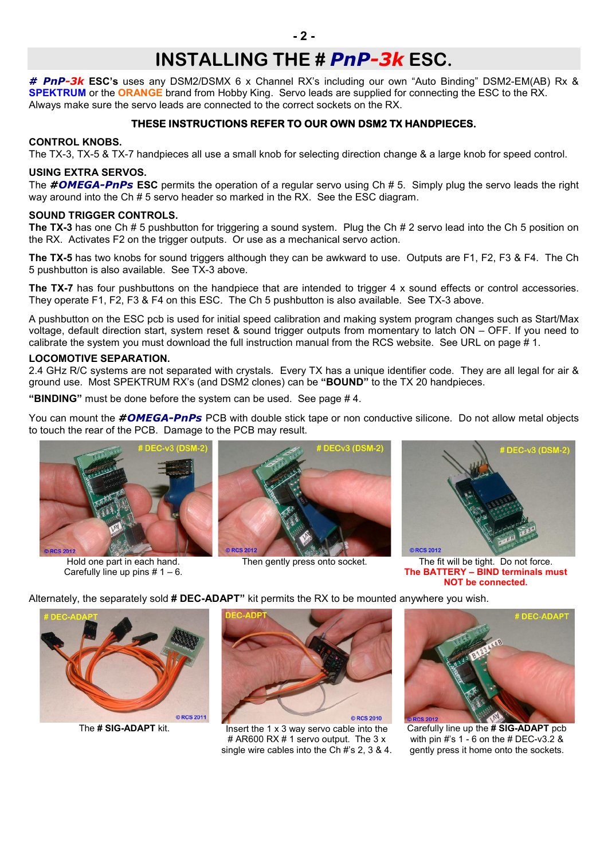# INSTALLING THE # *PnP-3k* ESC.

*# PnP-3k* ESC's uses any DSM2/DSMX 6 x Channel RX's including our own "Auto Binding" DSM2-EM(AB) Rx & **SPEKTRUM** or the ORANGE brand from Hobby King. Servo leads are supplied for connecting the ESC to the RX. Always make sure the servo leads are connected to the correct sockets on the RX.

### THESE INSTRUCTIONS REFER TO OUR OWN DSM2 TX HANDPIECES.

#### CONTROL KNOBS.

The TX-3, TX-5 & TX-7 handpieces all use a small knob for selecting direction change & a large knob for speed control.

## USING EXTRA SERVOS.

The *#OMEGA-PnPs* ESC permits the operation of a regular servo using Ch # 5. Simply plug the servo leads the right way around into the Ch # 5 servo header so marked in the RX. See the ESC diagram.

#### SOUND TRIGGER CONTROLS.

The TX-3 has one Ch # 5 pushbutton for triggering a sound system. Plug the Ch # 2 servo lead into the Ch 5 position on the RX. Activates F2 on the trigger outputs. Or use as a mechanical servo action.

The TX-5 has two knobs for sound triggers although they can be awkward to use. Outputs are F1, F2, F3 & F4. The Ch 5 pushbutton is also available. See TX-3 above.

The TX-7 has four pushbuttons on the handpiece that are intended to trigger 4 x sound effects or control accessories. They operate F1, F2, F3 & F4 on this ESC. The Ch 5 pushbutton is also available. See TX-3 above.

A pushbutton on the ESC pcb is used for initial speed calibration and making system program changes such as Start/Max voltage, default direction start, system reset & sound trigger outputs from momentary to latch ON – OFF. If you need to calibrate the system you must download the full instruction manual from the RCS website. See URL on page # 1.

#### LOCOMOTIVE SEPARATION.

2.4 GHz R/C systems are not separated with crystals. Every TX has a unique identifier code. They are all legal for air & ground use. Most SPEKTRUM RX's (and DSM2 clones) can be "BOUND" to the TX 20 handpieces.

"BINDING" must be done before the system can be used. See page # 4.

You can mount the *#OMEGA-PnPs* PCB with double stick tape or non conductive silicone. Do not allow metal objects to touch the rear of the PCB. Damage to the PCB may result.



Hold one part in each hand. Carefully line up pins  $# 1 - 6$ .





Then gently press onto socket. The fit will be tight. Do not force. The BATTERY – BIND terminals must NOT be connected.

Alternately, the separately sold # DEC-ADAPT" kit permits the RX to be mounted anywhere you wish.





The  $\#$  SIG-ADAPT kit. Insert the 1 x 3 way servo cable into the # AR600 RX # 1 servo output. The 3 x single wire cables into the Ch #'s 2, 3 & 4.



Carefully line up the # SIG-ADAPT pcb with pin #'s 1 - 6 on the # DEC-v3.2 & gently press it home onto the sockets.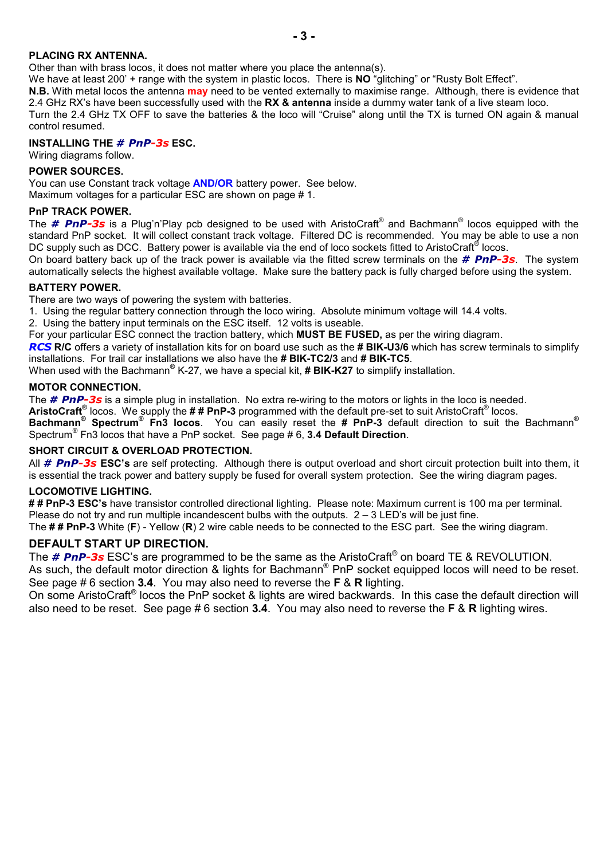#### PLACING RX ANTENNA.

Other than with brass locos, it does not matter where you place the antenna(s).

We have at least 200' + range with the system in plastic locos. There is NO "glitching" or "Rusty Bolt Effect".

N.B. With metal locos the antenna may need to be vented externally to maximise range. Although, there is evidence that 2.4 GHz RX's have been successfully used with the RX & antenna inside a dummy water tank of a live steam loco. Turn the 2.4 GHz TX OFF to save the batteries & the loco will "Cruise" along until the TX is turned ON again & manual

#### INSTALLING THE *# PnP-3s* ESC.

Wiring diagrams follow.

#### POWER SOURCES.

control resumed.

You can use Constant track voltage **AND/OR** battery power. See below.

Maximum voltages for a particular ESC are shown on page # 1.

#### PnP TRACK POWER.

The *# PnP-3s* is a Plug'n'Play pcb designed to be used with AristoCraft® and Bachmann® locos equipped with the standard PnP socket. It will collect constant track voltage. Filtered DC is recommended. You may be able to use a non DC supply such as DCC. Battery power is available via the end of loco sockets fitted to AristoCraft<sup>®</sup> locos.

On board battery back up of the track power is available via the fitted screw terminals on the *# PnP-3s*. The system automatically selects the highest available voltage. Make sure the battery pack is fully charged before using the system.

#### BATTERY POWER.

There are two ways of powering the system with batteries.

1. Using the regular battery connection through the loco wiring. Absolute minimum voltage will 14.4 volts.

2. Using the battery input terminals on the ESC itself. 12 volts is useable.

For your particular ESC connect the traction battery, which **MUST BE FUSED**, as per the wiring diagram.

*RCS* R/C offers a variety of installation kits for on board use such as the # BIK-U3/6 which has screw terminals to simplify installations. For trail car installations we also have the # BIK-TC2/3 and # BIK-TC5.

When used with the Bachmann<sup>®</sup> K-27, we have a special kit,  $\#$  BIK-K27 to simplify installation.

#### MOTOR CONNECTION.

The *# PnP-3s* is a simple plug in installation. No extra re-wiring to the motors or lights in the loco is needed.

AristoCraft<sup>®</sup> locos. We supply the  $\# \#$  PnP-3 programmed with the default pre-set to suit AristoCraft<sup>®</sup> locos.

Bachmann<sup>®</sup> Spectrum<sup>®</sup> Fn3 locos. You can easily reset the # PnP-3 default direction to suit the Bachmann<sup>®</sup> Spectrum<sup>®</sup> Fn3 locos that have a PnP socket. See page # 6, 3.4 Default Direction.

#### SHORT CIRCUIT & OVERLOAD PROTECTION.

All *# PnP-3s* ESC's are self protecting. Although there is output overload and short circuit protection built into them, it is essential the track power and battery supply be fused for overall system protection. See the wiring diagram pages.

#### LOCOMOTIVE LIGHTING.

## PnP-3 ESC's have transistor controlled directional lighting. Please note: Maximum current is 100 ma per terminal. Please do not try and run multiple incandescent bulbs with the outputs.  $2 - 3$  LED's will be just fine. The ## PnP-3 White (F) - Yellow (R) 2 wire cable needs to be connected to the ESC part. See the wiring diagram.

## DEFAULT START UP DIRECTION.

The *# PnP-3s* ESC's are programmed to be the same as the AristoCraft® on board TE & REVOLUTION. As such, the default motor direction & lights for Bachmann<sup>®</sup> PnP socket equipped locos will need to be reset. See page # 6 section 3.4. You may also need to reverse the F & R lighting.

On some AristoCraft® locos the PnP socket & lights are wired backwards. In this case the default direction will also need to be reset. See page #6 section 3.4. You may also need to reverse the F & R lighting wires.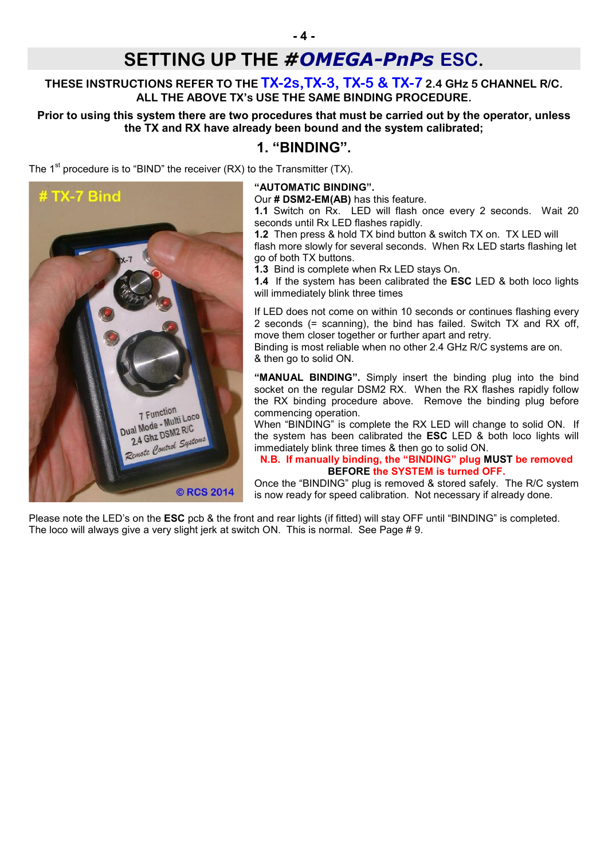# SETTING UP THE *#OMEGA-PnPs* ESC.

# THESE INSTRUCTIONS REFER TO THE **TX-2s, TX-3, TX-5 & TX-7** 2.4 GHz 5 CHANNEL R/C. ALL THE ABOVE TX's USE THE SAME BINDING PROCEDURE.

## Prior to using this system there are two procedures that must be carried out by the operator, unless the TX and RX have already been bound and the system calibrated;

# 1. "BINDING".

The  $1<sup>st</sup>$  procedure is to "BIND" the receiver (RX) to the Transmitter (TX).



#### "AUTOMATIC BINDING".

Our # DSM2-EM(AB) has this feature.

1.1 Switch on Rx. LED will flash once every 2 seconds. Wait 20 seconds until Rx LED flashes rapidly.

1.2 Then press & hold TX bind button & switch TX on. TX LED will flash more slowly for several seconds. When Rx LED starts flashing let go of both TX buttons.

1.3 Bind is complete when Rx LED stays On.

1.4 If the system has been calibrated the **ESC** LED & both loco lights will immediately blink three times

If LED does not come on within 10 seconds or continues flashing every 2 seconds (= scanning), the bind has failed. Switch TX and RX off, move them closer together or further apart and retry.

Binding is most reliable when no other 2.4 GHz R/C systems are on. & then go to solid ON.

"MANUAL BINDING". Simply insert the binding plug into the bind socket on the regular DSM2 RX. When the RX flashes rapidly follow the RX binding procedure above. Remove the binding plug before commencing operation.

When "BINDING" is complete the RX LED will change to solid ON. If the system has been calibrated the ESC LED & both loco lights will immediately blink three times & then go to solid ON.

#### N.B. If manually binding, the "BINDING" plug MUST be removed BEFORE the SYSTEM is turned OFF.

Once the "BINDING" plug is removed & stored safely. The R/C system is now ready for speed calibration. Not necessary if already done.

Please note the LED's on the **ESC** pcb & the front and rear lights (if fitted) will stay OFF until "BINDING" is completed. The loco will always give a very slight jerk at switch ON. This is normal. See Page # 9.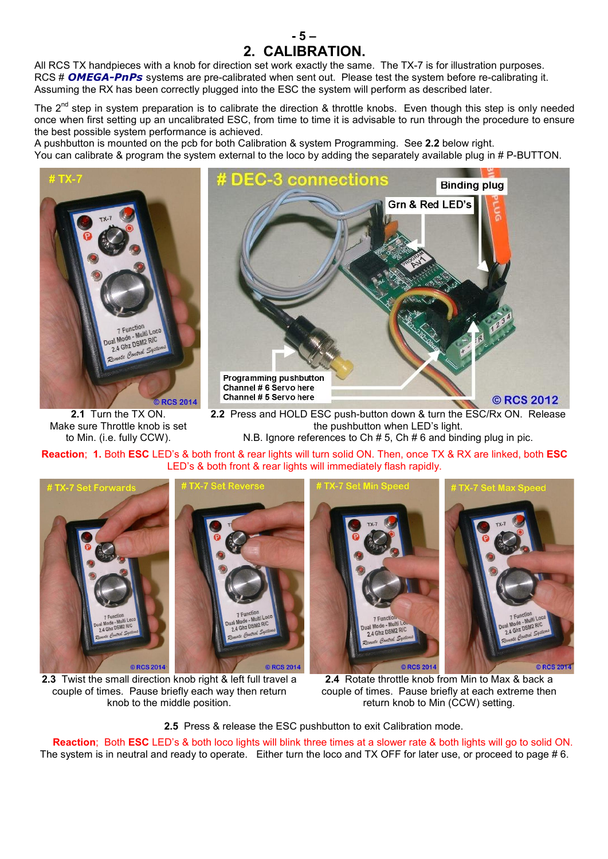All RCS TX handpieces with a knob for direction set work exactly the same. The TX-7 is for illustration purposes. RCS # *OMEGA-PnPs* systems are pre-calibrated when sent out. Please test the system before re-calibrating it. Assuming the RX has been correctly plugged into the ESC the system will perform as described later.

The  $2^{nd}$  step in system preparation is to calibrate the direction & throttle knobs. Even though this step is only needed once when first setting up an uncalibrated ESC, from time to time it is advisable to run through the procedure to ensure the best possible system performance is achieved.

- 5 – 2. CALIBRATION.

A pushbutton is mounted on the pcb for both Calibration & system Programming. See 2.2 below right. You can calibrate & program the system external to the loco by adding the separately available plug in # P-BUTTON.



2.1 Turn the TX ON. Make sure Throttle knob is set to Min. (i.e. fully CCW).



2.2 Press and HOLD ESC push-button down & turn the ESC/Rx ON. Release the pushbutton when LED's light. N.B. Ignore references to Ch # 5, Ch # 6 and binding plug in pic.

Reaction; 1. Both ESC LED's & both front & rear lights will turn solid ON. Then, once TX & RX are linked, both ESC LED's & both front & rear lights will immediately flash rapidly.



2.3 Twist the small direction knob right & left full travel a couple of times. Pause briefly each way then return knob to the middle position.

2.4 Rotate throttle knob from Min to Max & back a couple of times. Pause briefly at each extreme then return knob to Min (CCW) setting.

2.5 Press & release the ESC pushbutton to exit Calibration mode.

Reaction; Both ESC LED's & both loco lights will blink three times at a slower rate & both lights will go to solid ON. The system is in neutral and ready to operate. Either turn the loco and TX OFF for later use, or proceed to page # 6.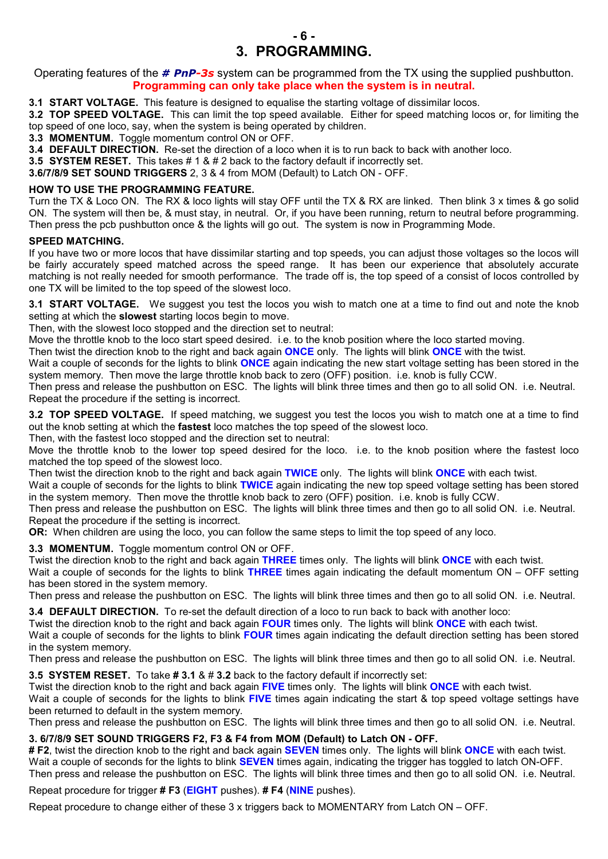

Operating features of the *# PnP-3s* system can be programmed from the TX using the supplied pushbutton. Programming can only take place when the system is in neutral.

3.1 START VOLTAGE. This feature is designed to equalise the starting voltage of dissimilar locos.

3.2 TOP SPEED VOLTAGE. This can limit the top speed available. Either for speed matching locos or, for limiting the top speed of one loco, say, when the system is being operated by children.

3.3 MOMENTUM. Toggle momentum control ON or OFF.

3.4 DEFAULT DIRECTION. Re-set the direction of a loco when it is to run back to back with another loco.

3.5 SYSTEM RESET. This takes # 1 & # 2 back to the factory default if incorrectly set.

3.6/7/8/9 SET SOUND TRIGGERS 2, 3 & 4 from MOM (Default) to Latch ON - OFF.

#### HOW TO USE THE PROGRAMMING FEATURE.

Turn the TX & Loco ON. The RX & loco lights will stay OFF until the TX & RX are linked. Then blink 3 x times & go solid ON. The system will then be, & must stay, in neutral. Or, if you have been running, return to neutral before programming. Then press the pcb pushbutton once & the lights will go out. The system is now in Programming Mode.

#### SPEED MATCHING.

If you have two or more locos that have dissimilar starting and top speeds, you can adjust those voltages so the locos will be fairly accurately speed matched across the speed range. It has been our experience that absolutely accurate matching is not really needed for smooth performance. The trade off is, the top speed of a consist of locos controlled by one TX will be limited to the top speed of the slowest loco.

3.1 START VOLTAGE. We suggest you test the locos you wish to match one at a time to find out and note the knob setting at which the **slowest** starting locos begin to move.

Then, with the slowest loco stopped and the direction set to neutral:

Move the throttle knob to the loco start speed desired. i.e. to the knob position where the loco started moving.

Then twist the direction knob to the right and back again ONCE only. The lights will blink ONCE with the twist.

Wait a couple of seconds for the lights to blink **ONCE** again indicating the new start voltage setting has been stored in the system memory. Then move the large throttle knob back to zero (OFF) position. i.e. knob is fully CCW.

Then press and release the pushbutton on ESC. The lights will blink three times and then go to all solid ON. i.e. Neutral. Repeat the procedure if the setting is incorrect.

3.2 TOP SPEED VOLTAGE. If speed matching, we suggest you test the locos you wish to match one at a time to find out the knob setting at which the fastest loco matches the top speed of the slowest loco.

Then, with the fastest loco stopped and the direction set to neutral:

Move the throttle knob to the lower top speed desired for the loco. i.e. to the knob position where the fastest loco matched the top speed of the slowest loco.

Then twist the direction knob to the right and back again TWICE only. The lights will blink ONCE with each twist.

Wait a couple of seconds for the lights to blink TWICE again indicating the new top speed voltage setting has been stored in the system memory. Then move the throttle knob back to zero (OFF) position. i.e. knob is fully CCW.

Then press and release the pushbutton on ESC. The lights will blink three times and then go to all solid ON. i.e. Neutral. Repeat the procedure if the setting is incorrect.

OR: When children are using the loco, you can follow the same steps to limit the top speed of any loco.

3.3 MOMENTUM. Toggle momentum control ON or OFF.

Twist the direction knob to the right and back again THREE times only. The lights will blink ONCE with each twist.

Wait a couple of seconds for the lights to blink **THREE** times again indicating the default momentum  $ON - OFF$  setting has been stored in the system memory.

Then press and release the pushbutton on ESC. The lights will blink three times and then go to all solid ON. i.e. Neutral.

3.4 DEFAULT DIRECTION. To re-set the default direction of a loco to run back to back with another loco:

Twist the direction knob to the right and back again FOUR times only. The lights will blink ONCE with each twist.

Wait a couple of seconds for the lights to blink FOUR times again indicating the default direction setting has been stored in the system memory.

Then press and release the pushbutton on ESC. The lights will blink three times and then go to all solid ON. i.e. Neutral.

3.5 SYSTEM RESET. To take # 3.1 & # 3.2 back to the factory default if incorrectly set:

Twist the direction knob to the right and back again FIVE times only. The lights will blink ONCE with each twist.

Wait a couple of seconds for the lights to blink FIVE times again indicating the start & top speed voltage settings have been returned to default in the system memory.

Then press and release the pushbutton on ESC. The lights will blink three times and then go to all solid ON. i.e. Neutral.

#### 3. 6/7/8/9 SET SOUND TRIGGERS F2, F3 & F4 from MOM (Default) to Latch ON - OFF.

# F2, twist the direction knob to the right and back again **SEVEN** times only. The lights will blink ONCE with each twist. Wait a couple of seconds for the lights to blink **SEVEN** times again, indicating the trigger has toggled to latch ON-OFF. Then press and release the pushbutton on ESC. The lights will blink three times and then go to all solid ON. i.e. Neutral.

Repeat procedure for trigger # F3 (EIGHT pushes). # F4 (NINE pushes).

Repeat procedure to change either of these 3 x triggers back to MOMENTARY from Latch ON – OFF.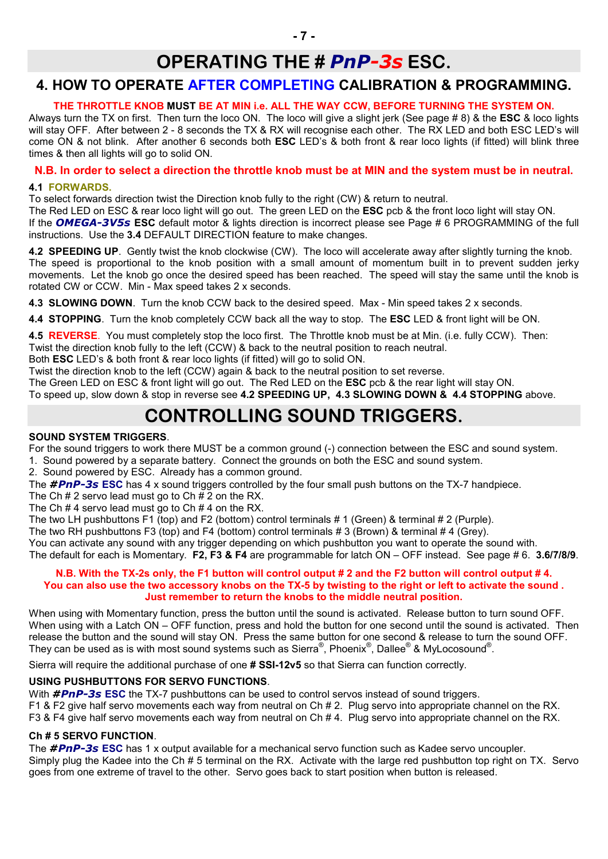# OPERATING THE # *PnP-3s* ESC.

# 4. HOW TO OPERATE AFTER COMPLETING CALIBRATION & PROGRAMMING.

## THE THROTTLE KNOB MUST BE AT MIN i.e. ALL THE WAY CCW, BEFORE TURNING THE SYSTEM ON.

Always turn the TX on first. Then turn the loco ON. The loco will give a slight jerk (See page #8) & the **ESC** & loco lights will stay OFF. After between 2 - 8 seconds the TX & RX will recognise each other. The RX LED and both ESC LED's will come ON & not blink. After another 6 seconds both ESC LED's & both front & rear loco lights (if fitted) will blink three times & then all lights will go to solid ON.

## N.B. In order to select a direction the throttle knob must be at MIN and the system must be in neutral.

#### 4.1 FORWARDS.

To select forwards direction twist the Direction knob fully to the right (CW) & return to neutral.

The Red LED on ESC & rear loco light will go out. The green LED on the ESC pcb & the front loco light will stay ON. If the *OMEGA-3V5s* ESC default motor & lights direction is incorrect please see Page # 6 PROGRAMMING of the full instructions. Use the 3.4 DEFAULT DIRECTION feature to make changes.

4.2 SPEEDING UP. Gently twist the knob clockwise (CW). The loco will accelerate away after slightly turning the knob. The speed is proportional to the knob position with a small amount of momentum built in to prevent sudden jerky movements. Let the knob go once the desired speed has been reached. The speed will stay the same until the knob is rotated CW or CCW. Min - Max speed takes 2 x seconds.

4.3 SLOWING DOWN. Turn the knob CCW back to the desired speed. Max - Min speed takes 2 x seconds.

4.4 STOPPING. Turn the knob completely CCW back all the way to stop. The ESC LED & front light will be ON.

4.5 REVERSE. You must completely stop the loco first. The Throttle knob must be at Min. (i.e. fully CCW). Then:

Twist the direction knob fully to the left (CCW) & back to the neutral position to reach neutral. Both ESC LED's & both front & rear loco lights (if fitted) will go to solid ON.

Twist the direction knob to the left (CCW) again & back to the neutral position to set reverse.

The Green LED on ESC & front light will go out. The Red LED on the ESC pcb & the rear light will stay ON.

To speed up, slow down & stop in reverse see 4.2 SPEEDING UP, 4.3 SLOWING DOWN & 4.4 STOPPING above.

# CONTROLLING SOUND TRIGGERS.

## SOUND SYSTEM TRIGGERS.

For the sound triggers to work there MUST be a common ground (-) connection between the ESC and sound system.

1. Sound powered by a separate battery. Connect the grounds on both the ESC and sound system.

2. Sound powered by ESC. Already has a common ground.

The *#PnP-3s* ESC has 4 x sound triggers controlled by the four small push buttons on the TX-7 handpiece.

The Ch # 2 servo lead must go to Ch  $\sharp$  2 on the RX.

The Ch # 4 servo lead must go to Ch # 4 on the RX.

The two LH pushbuttons F1 (top) and F2 (bottom) control terminals # 1 (Green) & terminal # 2 (Purple).

The two RH pushbuttons F3 (top) and F4 (bottom) control terminals # 3 (Brown) & terminal # 4 (Grey).

You can activate any sound with any trigger depending on which pushbutton you want to operate the sound with. The default for each is Momentary. F2, F3 & F4 are programmable for latch ON – OFF instead. See page # 6. 3.6/7/8/9.

#### N.B. With the TX-2s only, the F1 button will control output # 2 and the F2 button will control output # 4. You can also use the two accessory knobs on the TX-5 by twisting to the right or left to activate the sound . Just remember to return the knobs to the middle neutral position.

When using with Momentary function, press the button until the sound is activated. Release button to turn sound OFF. When using with a Latch ON – OFF function, press and hold the button for one second until the sound is activated. Then release the button and the sound will stay ON. Press the same button for one second & release to turn the sound OFF. They can be used as is with most sound systems such as Sierra®, Phoenix®, Dallee® & MyLocosound®.

Sierra will require the additional purchase of one # SSI-12v5 so that Sierra can function correctly.

## USING PUSHBUTTONS FOR SERVO FUNCTIONS.

With **#PnP-3s ESC** the TX-7 pushbuttons can be used to control servos instead of sound triggers.

F1 & F2 give half servo movements each way from neutral on Ch # 2. Plug servo into appropriate channel on the RX.

F3 & F4 give half servo movements each way from neutral on Ch # 4. Plug servo into appropriate channel on the RX.

## Ch # 5 SERVO FUNCTION.

The *#PnP-3s* ESC has 1 x output available for a mechanical servo function such as Kadee servo uncoupler. Simply plug the Kadee into the Ch # 5 terminal on the RX. Activate with the large red pushbutton top right on TX. Servo goes from one extreme of travel to the other. Servo goes back to start position when button is released.